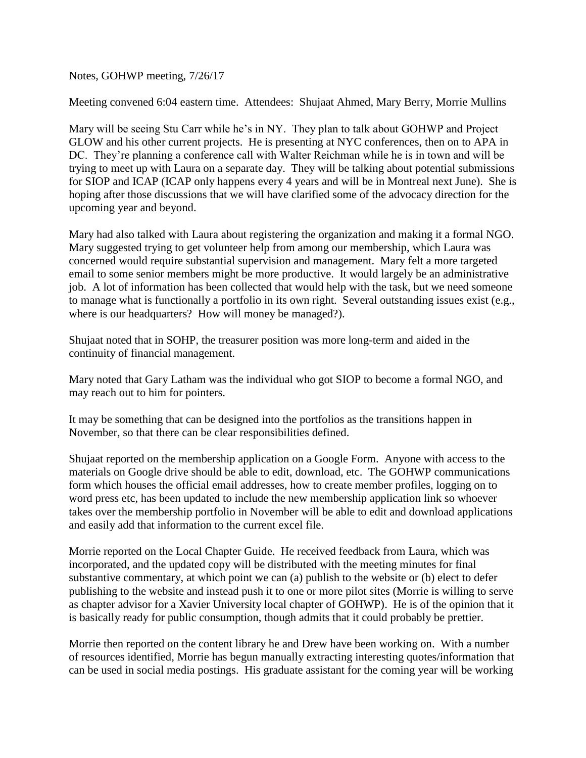Notes, GOHWP meeting, 7/26/17

Meeting convened 6:04 eastern time. Attendees: Shujaat Ahmed, Mary Berry, Morrie Mullins

Mary will be seeing Stu Carr while he's in NY. They plan to talk about GOHWP and Project GLOW and his other current projects. He is presenting at NYC conferences, then on to APA in DC. They're planning a conference call with Walter Reichman while he is in town and will be trying to meet up with Laura on a separate day. They will be talking about potential submissions for SIOP and ICAP (ICAP only happens every 4 years and will be in Montreal next June). She is hoping after those discussions that we will have clarified some of the advocacy direction for the upcoming year and beyond.

Mary had also talked with Laura about registering the organization and making it a formal NGO. Mary suggested trying to get volunteer help from among our membership, which Laura was concerned would require substantial supervision and management. Mary felt a more targeted email to some senior members might be more productive. It would largely be an administrative job. A lot of information has been collected that would help with the task, but we need someone to manage what is functionally a portfolio in its own right. Several outstanding issues exist (e.g., where is our headquarters? How will money be managed?).

Shujaat noted that in SOHP, the treasurer position was more long-term and aided in the continuity of financial management.

Mary noted that Gary Latham was the individual who got SIOP to become a formal NGO, and may reach out to him for pointers.

It may be something that can be designed into the portfolios as the transitions happen in November, so that there can be clear responsibilities defined.

Shujaat reported on the membership application on a Google Form. Anyone with access to the materials on Google drive should be able to edit, download, etc. The GOHWP communications form which houses the official email addresses, how to create member profiles, logging on to word press etc, has been updated to include the new membership application link so whoever takes over the membership portfolio in November will be able to edit and download applications and easily add that information to the current excel file.

Morrie reported on the Local Chapter Guide. He received feedback from Laura, which was incorporated, and the updated copy will be distributed with the meeting minutes for final substantive commentary, at which point we can (a) publish to the website or (b) elect to defer publishing to the website and instead push it to one or more pilot sites (Morrie is willing to serve as chapter advisor for a Xavier University local chapter of GOHWP). He is of the opinion that it is basically ready for public consumption, though admits that it could probably be prettier.

Morrie then reported on the content library he and Drew have been working on. With a number of resources identified, Morrie has begun manually extracting interesting quotes/information that can be used in social media postings. His graduate assistant for the coming year will be working